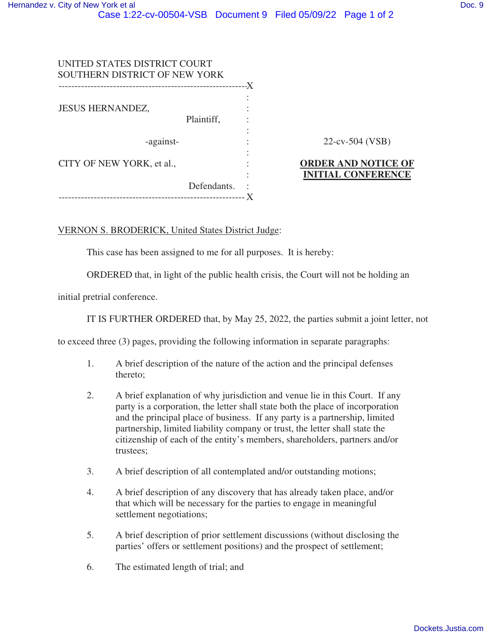| UNITED STATES DISTRICT COURT<br>SOUTHERN DISTRICT OF NEW YORK |             | -X |                                                         |
|---------------------------------------------------------------|-------------|----|---------------------------------------------------------|
| <b>JESUS HERNANDEZ,</b>                                       | Plaintiff,  | ٠  |                                                         |
| -against-                                                     |             |    | $22$ -cv-504 (VSB)                                      |
| CITY OF NEW YORK, et al.,                                     | Defendants. | ٠  | <b>ORDER AND NOTICE OF</b><br><b>INITIAL CONFERENCE</b> |

## VERNON S. BRODERICK, United States District Judge:

This case has been assigned to me for all purposes. It is hereby:

ORDERED that, in light of the public health crisis, the Court will not be holding an

initial pretrial conference.

IT IS FURTHER ORDERED that, by May 25, 2022, the parties submit a joint letter, not

to exceed three (3) pages, providing the following information in separate paragraphs:

- 1. A brief description of the nature of the action and the principal defenses thereto;
- 2. A brief explanation of why jurisdiction and venue lie in this Court. If any party is a corporation, the letter shall state both the place of incorporation and the principal place of business. If any party is a partnership, limited partnership, limited liability company or trust, the letter shall state the citizenship of each of the entity's members, shareholders, partners and/or trustees;
- 3. A brief description of all contemplated and/or outstanding motions;
- 4. A brief description of any discovery that has already taken place, and/or that which will be necessary for the parties to engage in meaningful settlement negotiations;
- 5. A brief description of prior settlement discussions (without disclosing the parties' offers or settlement positions) and the prospect of settlement;
- 6. The estimated length of trial; and